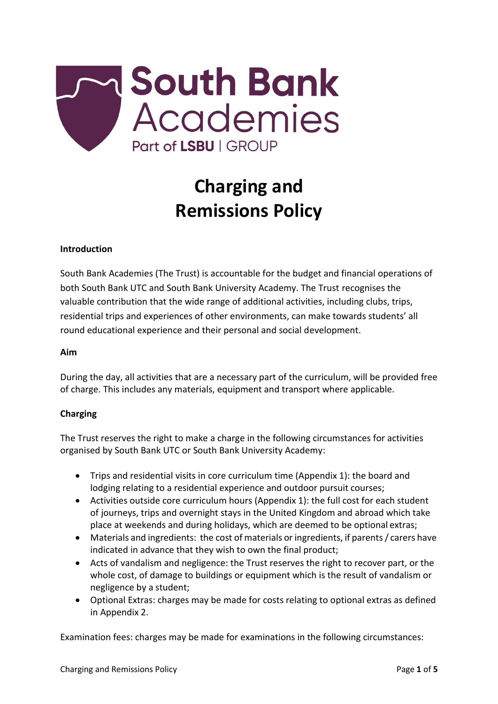

# **Charging and Remissions Policy**

#### **Introduction**

South Bank Academies (The Trust) is accountable for the budget and financial operations of both South Bank UTC and South Bank University Academy. The Trust recognises the valuable contribution that the wide range of additional activities, including clubs, trips, residential trips and experiences of other environments, can make towards students' all round educational experience and their personal and social development.

#### **Aim**

During the day, all activities that are a necessary part of the curriculum, will be provided free of charge. This includes any materials, equipment and transport where applicable.

#### **Charging**

The Trust reserves the right to make a charge in the following circumstances for activities organised by South Bank UTC or South Bank University Academy:

- Trips and residential visits in core curriculum time (Appendix 1): the board and lodging relating to a residential experience and outdoor pursuit courses;
- Activities outside core curriculum hours (Appendix 1): the full cost for each student of journeys, trips and overnight stays in the United Kingdom and abroad which take place at weekends and during holidays, which are deemed to be optional extras;
- Materials and ingredients: the cost of materials or ingredients, if parents/ carers have indicated in advance that they wish to own the final product;
- Acts of vandalism and negligence: the Trust reserves the right to recover part, or the whole cost, of damage to buildings or equipment which is the result of vandalism or negligence by a student;
- Optional Extras: charges may be made for costs relating to optional extras as defined in Appendix 2.

Examination fees: charges may be made for examinations in the following circumstances: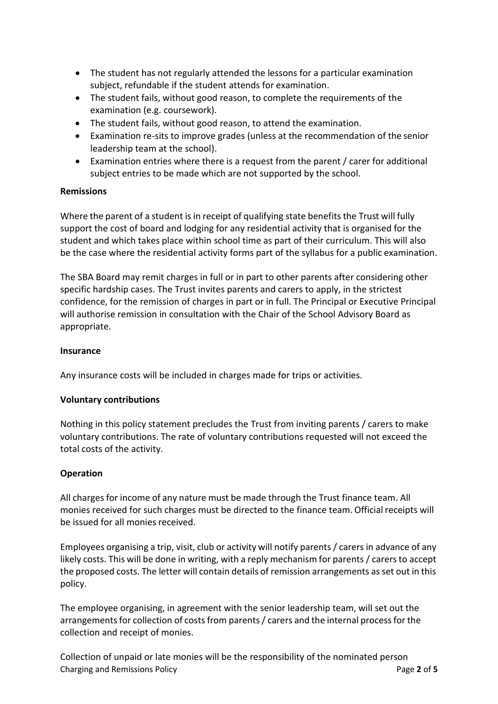- The student has not regularly attended the lessons for a particular examination subject, refundable if the student attends for examination.
- The student fails, without good reason, to complete the requirements of the examination (e.g. coursework).
- The student fails, without good reason, to attend the examination.
- Examination re-sits to improve grades (unless at the recommendation of the senior leadership team at the school).
- Examination entries where there is a request from the parent / carer for additional subject entries to be made which are not supported by the school.

## **Remissions**

Where the parent of a student is in receipt of qualifying state benefits the Trust will fully support the cost of board and lodging for any residential activity that is organised for the student and which takes place within school time as part of their curriculum. This will also be the case where the residential activity forms part of the syllabus for a public examination.

The SBA Board may remit charges in full or in part to other parents after considering other specific hardship cases. The Trust invites parents and carers to apply, in the strictest confidence, for the remission of charges in part or in full. The Principal or Executive Principal will authorise remission in consultation with the Chair of the School Advisory Board as appropriate.

### **Insurance**

Any insurance costs will be included in charges made for trips or activities.

#### **Voluntary contributions**

Nothing in this policy statement precludes the Trust from inviting parents / carers to make voluntary contributions. The rate of voluntary contributions requested will not exceed the total costs of the activity.

# **Operation**

All charges for income of any nature must be made through the Trust finance team. All monies received for such charges must be directed to the finance team. Official receipts will be issued for all monies received.

Employees organising a trip, visit, club or activity will notify parents / carers in advance of any likely costs. This will be done in writing, with a reply mechanism for parents / carersto accept the proposed costs. The letter will contain details of remission arrangements as set out in this policy.

The employee organising, in agreement with the senior leadership team, will set out the arrangements for collection of costs from parents / carers and the internal process for the collection and receipt of monies.

Charging and Remissions Policy **Page 2** of **5** and **Page 2** of **5** Collection of unpaid or late monies will be the responsibility of the nominated person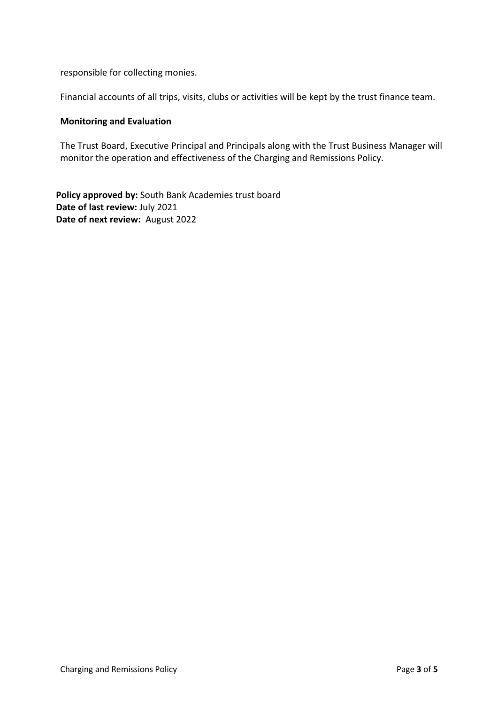responsible for collecting monies.

Financial accounts of all trips, visits, clubs or activities will be kept by the trust finance team.

#### **Monitoring and Evaluation**

The Trust Board, Executive Principal and Principals along with the Trust Business Manager will monitor the operation and effectiveness of the Charging and Remissions Policy.

Policy approved by: South Bank Academies trust board **Date of last review:** July 2021 **Date of next review:** August 2022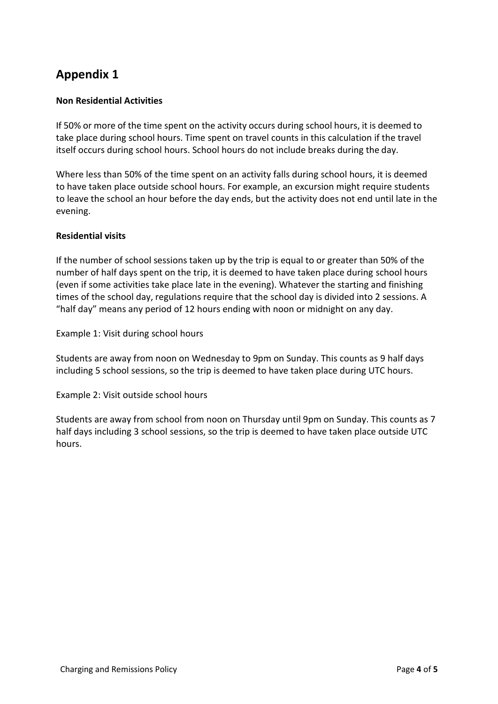# **Appendix 1**

# **Non Residential Activities**

If 50% or more of the time spent on the activity occurs during school hours, it is deemed to take place during school hours. Time spent on travel counts in this calculation if the travel itself occurs during school hours. School hours do not include breaks during the day.

Where less than 50% of the time spent on an activity falls during school hours, it is deemed to have taken place outside school hours. For example, an excursion might require students to leave the school an hour before the day ends, but the activity does not end until late in the evening.

# **Residential visits**

If the number of school sessions taken up by the trip is equal to or greater than 50% of the number of half days spent on the trip, it is deemed to have taken place during school hours (even if some activities take place late in the evening). Whatever the starting and finishing times of the school day, regulations require that the school day is divided into 2 sessions. A "half day" means any period of 12 hours ending with noon or midnight on any day.

Example 1: Visit during school hours

Students are away from noon on Wednesday to 9pm on Sunday. This counts as 9 half days including 5 school sessions, so the trip is deemed to have taken place during UTC hours.

Example 2: Visit outside school hours

Students are away from school from noon on Thursday until 9pm on Sunday. This counts as 7 half days including 3 school sessions, so the trip is deemed to have taken place outside UTC hours.